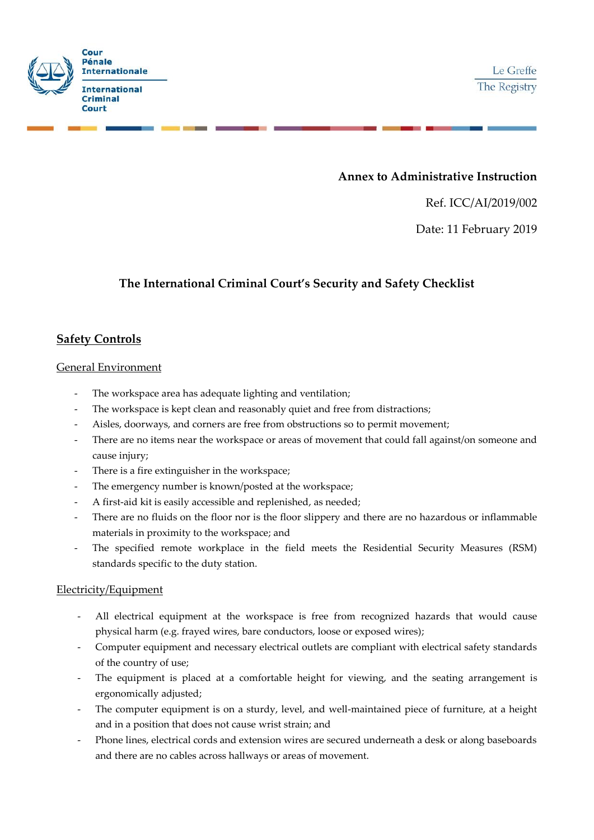

## **Annex to Administrative Instruction**

Ref. ICC/AI/2019/002

Date: 11 February 2019

# **The International Criminal Court's Security and Safety Checklist**

## **Safety Controls**

### General Environment

- The workspace area has adequate lighting and ventilation;
- The workspace is kept clean and reasonably quiet and free from distractions;
- Aisles, doorways, and corners are free from obstructions so to permit movement;
- There are no items near the workspace or areas of movement that could fall against/on someone and cause injury;
- There is a fire extinguisher in the workspace;
- The emergency number is known/posted at the workspace;
- A first-aid kit is easily accessible and replenished, as needed;
- There are no fluids on the floor nor is the floor slippery and there are no hazardous or inflammable materials in proximity to the workspace; and
- The specified remote workplace in the field meets the Residential Security Measures (RSM) standards specific to the duty station.

### Electricity/Equipment

- All electrical equipment at the workspace is free from recognized hazards that would cause physical harm (e.g. frayed wires, bare conductors, loose or exposed wires);
- Computer equipment and necessary electrical outlets are compliant with electrical safety standards of the country of use;
- The equipment is placed at a comfortable height for viewing, and the seating arrangement is ergonomically adjusted;
- The computer equipment is on a sturdy, level, and well-maintained piece of furniture, at a height and in a position that does not cause wrist strain; and
- Phone lines, electrical cords and extension wires are secured underneath a desk or along baseboards and there are no cables across hallways or areas of movement.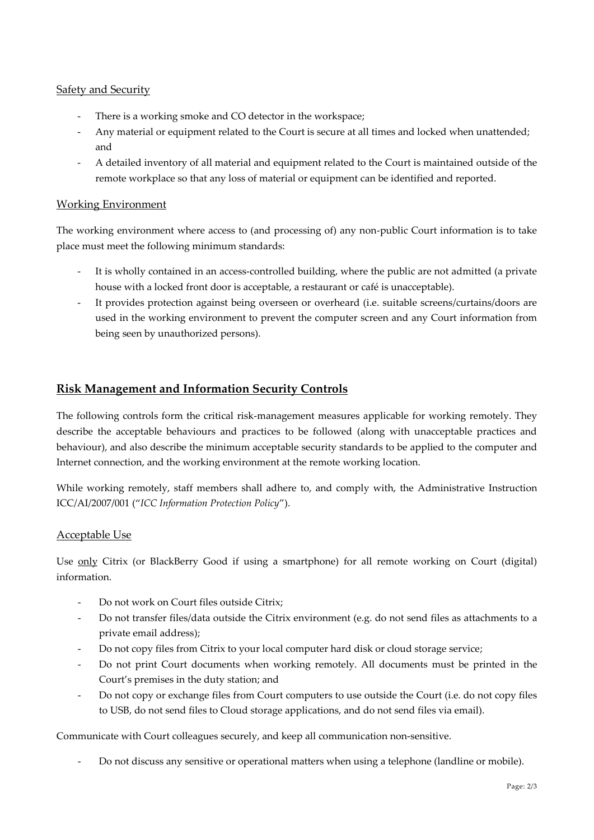### **Safety and Security**

- There is a working smoke and CO detector in the workspace;
- Any material or equipment related to the Court is secure at all times and locked when unattended; and
- A detailed inventory of all material and equipment related to the Court is maintained outside of the remote workplace so that any loss of material or equipment can be identified and reported.

### Working Environment

The working environment where access to (and processing of) any non-public Court information is to take place must meet the following minimum standards:

- It is wholly contained in an access-controlled building, where the public are not admitted (a private house with a locked front door is acceptable, a restaurant or café is unacceptable).
- It provides protection against being overseen or overheard (i.e. suitable screens/curtains/doors are used in the working environment to prevent the computer screen and any Court information from being seen by unauthorized persons).

## **Risk Management and Information Security Controls**

The following controls form the critical risk-management measures applicable for working remotely. They describe the acceptable behaviours and practices to be followed (along with unacceptable practices and behaviour), and also describe the minimum acceptable security standards to be applied to the computer and Internet connection, and the working environment at the remote working location.

While working remotely, staff members shall adhere to, and comply with, the Administrative Instruction ICC/AI/2007/001 ("*ICC Information Protection Policy*").

### Acceptable Use

Use only Citrix (or BlackBerry Good if using a smartphone) for all remote working on Court (digital) information.

- Do not work on Court files outside Citrix;
- Do not transfer files/data outside the Citrix environment (e.g. do not send files as attachments to a private email address);
- Do not copy files from Citrix to your local computer hard disk or cloud storage service;
- Do not print Court documents when working remotely. All documents must be printed in the Court's premises in the duty station; and
- Do not copy or exchange files from Court computers to use outside the Court (i.e. do not copy files to USB, do not send files to Cloud storage applications, and do not send files via email).

Communicate with Court colleagues securely, and keep all communication non-sensitive.

- Do not discuss any sensitive or operational matters when using a telephone (landline or mobile).